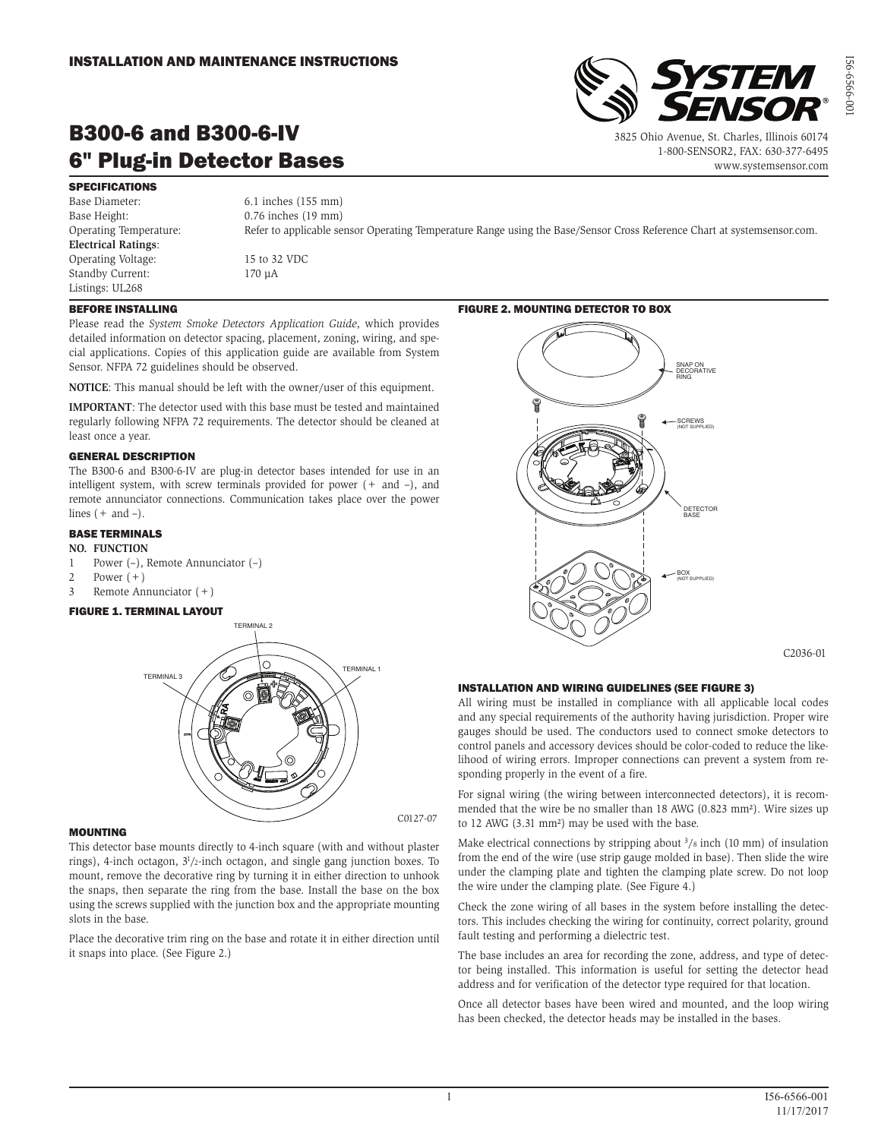

# B300-6 and B300-6-IV 6" Plug-in Detector Bases

 3825 Ohio Avenue, St. Charles, Illinois 60174 1-800-SENSOR2, FAX: 630-377-6495 www.systemsensor.com I56-6566-001

56-6566-0

SPECIFICATIONS Base Diameter: 6.1 inches (155 mm) Base Height: 0.76 inches (19 mm) **Electrical Ratings**: Operating Voltage: 15 to 32 VDC Standby Current: 170 µA Listings: UL268

Operating Temperature: Refer to applicable sensor Operating Temperature Range using the Base/Sensor Cross Reference Chart at systemsensor.com.

## BEFORE INSTALLING

Please read the *System Smoke Detectors Application Guide*, which provides detailed information on detector spacing, placement, zoning, wiring, and special applications. Copies of this application guide are available from System Sensor. NFPA 72 guidelines should be observed.

**NOTICE**: This manual should be left with the owner/user of this equipment.

**IMPORTANT**: The detector used with this base must be tested and maintained regularly following NFPA 72 requirements. The detector should be cleaned at least once a year.

#### GENERAL DESCRIPTION

The B300-6 and B300-6-IV are plug-in detector bases intended for use in an intelligent system, with screw terminals provided for power  $(+)$  and  $-)$ , and remote annunciator connections. Communication takes place over the power lines  $(+$  and  $-$ ).

## BASE TERMINALS

- **NO. FUNCTION**
- 1 Power (–), Remote Annunciator (–)
- 2 Power  $(+)$
- 3 Remote Annunciator (+)

#### FIGURE 1. TERMINAL LAYOUT



### MOUNTING

This detector base mounts directly to 4-inch square (with and without plaster rings), 4-inch octagon, 31 /2-inch octagon, and single gang junction boxes. To mount, remove the decorative ring by turning it in either direction to unhook the snaps, then separate the ring from the base. Install the base on the box using the screws supplied with the junction box and the appropriate mounting slots in the base.

Place the decorative trim ring on the base and rotate it in either direction until it snaps into place. (See Figure 2.)

### FIGURE 2. MOUNTING DETECTOR TO BOX



C2036-01

## INSTALLATION AND WIRING GUIDELINES (SEE FIGURE 3)

All wiring must be installed in compliance with all applicable local codes and any special requirements of the authority having jurisdiction. Proper wire gauges should be used. The conductors used to connect smoke detectors to control panels and accessory devices should be color-coded to reduce the likelihood of wiring errors. Improper connections can prevent a system from responding properly in the event of a fire.

For signal wiring (the wiring between interconnected detectors), it is recommended that the wire be no smaller than 18 AWG (0.823 mm²). Wire sizes up to 12 AWG (3.31 mm²) may be used with the base.

Make electrical connections by stripping about  $\frac{3}{8}$  inch (10 mm) of insulation from the end of the wire (use strip gauge molded in base). Then slide the wire under the clamping plate and tighten the clamping plate screw. Do not loop the wire under the clamping plate. (See Figure 4.)

Check the zone wiring of all bases in the system before installing the detectors. This includes checking the wiring for continuity, correct polarity, ground fault testing and performing a dielectric test.

The base includes an area for recording the zone, address, and type of detector being installed. This information is useful for setting the detector head address and for verification of the detector type required for that location.

Once all detector bases have been wired and mounted, and the loop wiring has been checked, the detector heads may be installed in the bases.